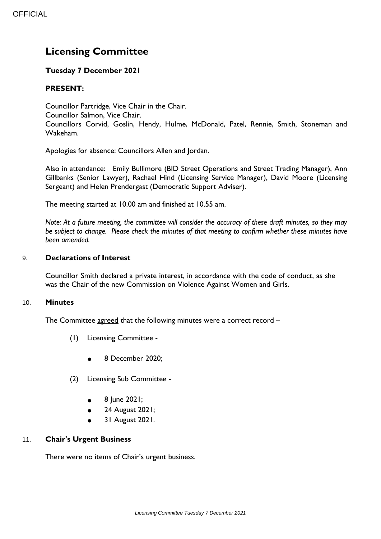# **Licensing Committee**

## **Tuesday 7 December 2021**

# **PRESENT:**

Councillor Partridge, Vice Chair in the Chair. Councillor Salmon, Vice Chair. Councillors Corvid, Goslin, Hendy, Hulme, McDonald, Patel, Rennie, Smith, Stoneman and Wakeham.

Apologies for absence: Councillors Allen and Jordan.

Also in attendance: Emily Bullimore (BID Street Operations and Street Trading Manager), Ann Gillbanks (Senior Lawyer), Rachael Hind (Licensing Service Manager), David Moore (Licensing Sergeant) and Helen Prendergast (Democratic Support Adviser).

The meeting started at 10.00 am and finished at 10.55 am.

*Note: At a future meeting, the committee will consider the accuracy of these draft minutes, so they may be subject to change. Please check the minutes of that meeting to confirm whether these minutes have been amended.*

### 9. **Declarations of Interest**

Councillor Smith declared a private interest, in accordance with the code of conduct, as she was the Chair of the new Commission on Violence Against Women and Girls.

### 10. **Minutes**

The Committee agreed that the following minutes were a correct record -

- (1) Licensing Committee
	- 8 December 2020;
- (2) Licensing Sub Committee
	- 8 June 2021;
	- 24 August 2021;
	- 31 August 2021.

### 11. **Chair's Urgent Business**

There were no items of Chair's urgent business.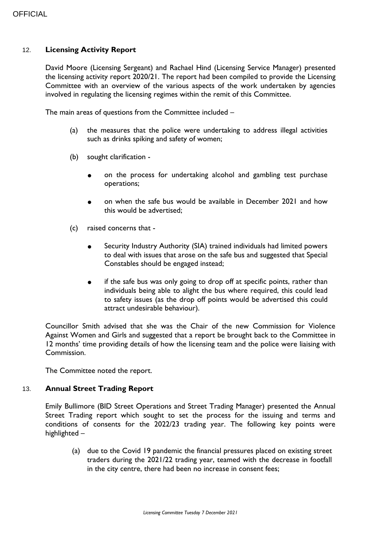#### 12. **Licensing Activity Report**

David Moore (Licensing Sergeant) and Rachael Hind (Licensing Service Manager) presented the licensing activity report 2020/21. The report had been compiled to provide the Licensing Committee with an overview of the various aspects of the work undertaken by agencies involved in regulating the licensing regimes within the remit of this Committee.

The main areas of questions from the Committee included –

- (a) the measures that the police were undertaking to address illegal activities such as drinks spiking and safety of women;
- (b) sought clarification
	- on the process for undertaking alcohol and gambling test purchase operations;
	- on when the safe bus would be available in December 2021 and how this would be advertised;
- (c) raised concerns that
	- Security Industry Authority (SIA) trained individuals had limited powers to deal with issues that arose on the safe bus and suggested that Special Constables should be engaged instead;
	- if the safe bus was only going to drop off at specific points, rather than individuals being able to alight the bus where required, this could lead to safety issues (as the drop off points would be advertised this could attract undesirable behaviour).

Councillor Smith advised that she was the Chair of the new Commission for Violence Against Women and Girls and suggested that a report be brought back to the Committee in 12 months' time providing details of how the licensing team and the police were liaising with Commission.

The Committee noted the report.

#### 13. **Annual Street Trading Report**

Emily Bullimore (BID Street Operations and Street Trading Manager) presented the Annual Street Trading report which sought to set the process for the issuing and terms and conditions of consents for the 2022/23 trading year. The following key points were highlighted –

(a) due to the Covid 19 pandemic the financial pressures placed on existing street traders during the 2021/22 trading year, teamed with the decrease in footfall in the city centre, there had been no increase in consent fees;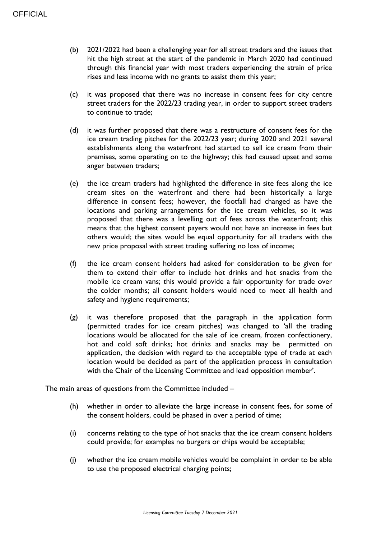- (b) 2021/2022 had been a challenging year for all street traders and the issues that hit the high street at the start of the pandemic in March 2020 had continued through this financial year with most traders experiencing the strain of price rises and less income with no grants to assist them this year;
- (c) it was proposed that there was no increase in consent fees for city centre street traders for the 2022/23 trading year, in order to support street traders to continue to trade;
- (d) it was further proposed that there was a restructure of consent fees for the ice cream trading pitches for the 2022/23 year; during 2020 and 2021 several establishments along the waterfront had started to sell ice cream from their premises, some operating on to the highway; this had caused upset and some anger between traders;
- (e) the ice cream traders had highlighted the difference in site fees along the ice cream sites on the waterfront and there had been historically a large difference in consent fees; however, the footfall had changed as have the locations and parking arrangements for the ice cream vehicles, so it was proposed that there was a levelling out of fees across the waterfront; this means that the highest consent payers would not have an increase in fees but others would; the sites would be equal opportunity for all traders with the new price proposal with street trading suffering no loss of income;
- (f) the ice cream consent holders had asked for consideration to be given for them to extend their offer to include hot drinks and hot snacks from the mobile ice cream vans; this would provide a fair opportunity for trade over the colder months; all consent holders would need to meet all health and safety and hygiene requirements;
- (g) it was therefore proposed that the paragraph in the application form (permitted trades for ice cream pitches) was changed to 'all the trading locations would be allocated for the sale of ice cream, frozen confectionery, hot and cold soft drinks; hot drinks and snacks may be permitted on application, the decision with regard to the acceptable type of trade at each location would be decided as part of the application process in consultation with the Chair of the Licensing Committee and lead opposition member'.

The main areas of questions from the Committee included –

- (h) whether in order to alleviate the large increase in consent fees, for some of the consent holders, could be phased in over a period of time;
- (i) concerns relating to the type of hot snacks that the ice cream consent holders could provide; for examples no burgers or chips would be acceptable;
- (j) whether the ice cream mobile vehicles would be complaint in order to be able to use the proposed electrical charging points;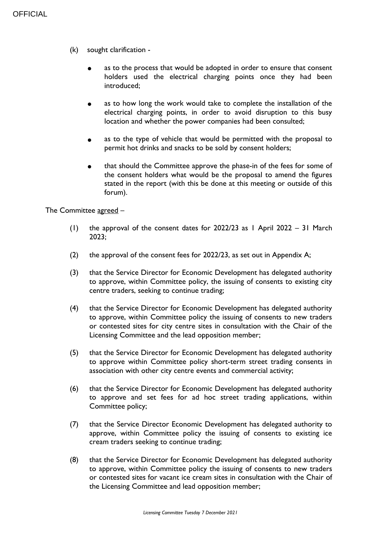- (k) sought clarification
	- as to the process that would be adopted in order to ensure that consent holders used the electrical charging points once they had been introduced;
	- as to how long the work would take to complete the installation of the electrical charging points, in order to avoid disruption to this busy location and whether the power companies had been consulted;
	- as to the type of vehicle that would be permitted with the proposal to permit hot drinks and snacks to be sold by consent holders;
	- that should the Committee approve the phase-in of the fees for some of the consent holders what would be the proposal to amend the figures stated in the report (with this be done at this meeting or outside of this forum).

The Committee agreed –

- (1) the approval of the consent dates for  $2022/23$  as 1 April 2022 31 March 2023;
- (2) the approval of the consent fees for 2022/23, as set out in Appendix A;
- (3) that the Service Director for Economic Development has delegated authority to approve, within Committee policy, the issuing of consents to existing city centre traders, seeking to continue trading;
- (4) that the Service Director for Economic Development has delegated authority to approve, within Committee policy the issuing of consents to new traders or contested sites for city centre sites in consultation with the Chair of the Licensing Committee and the lead opposition member;
- (5) that the Service Director for Economic Development has delegated authority to approve within Committee policy short-term street trading consents in association with other city centre events and commercial activity;
- (6) that the Service Director for Economic Development has delegated authority to approve and set fees for ad hoc street trading applications, within Committee policy;
- (7) that the Service Director Economic Development has delegated authority to approve, within Committee policy the issuing of consents to existing ice cream traders seeking to continue trading;
- (8) that the Service Director for Economic Development has delegated authority to approve, within Committee policy the issuing of consents to new traders or contested sites for vacant ice cream sites in consultation with the Chair of the Licensing Committee and lead opposition member;